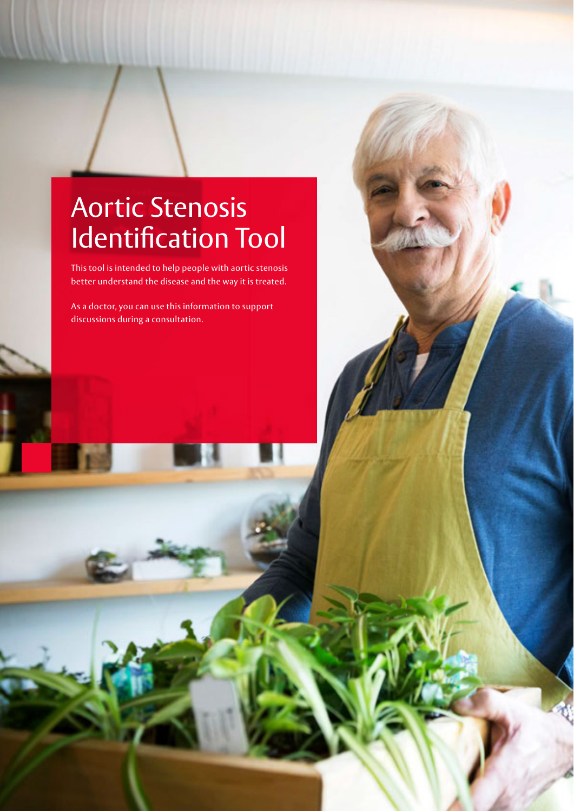# Aortic Stenosis Identification Tool

This tool is intended to help people with aortic stenosis better understand the disease and the way it is treated.

As a doctor, you can use this information to support discussions during a consultation.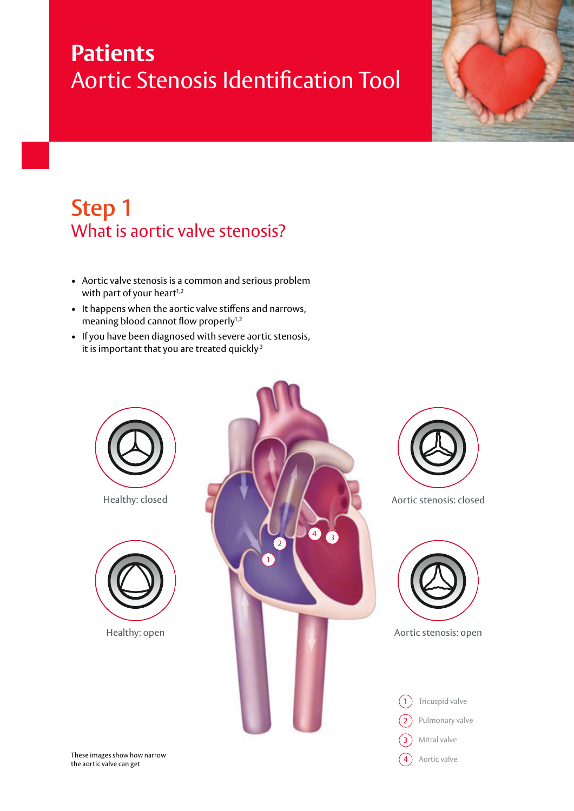# **Patients**  Aortic Stenosis Identification Tool



## **Step 1**  What is aortic valve stenosis?

- Aortic valve stenosis is a common and serious problem with part of your heart<sup>1,2</sup>
- It happens when the aortic valve stiffens and narrows, meaning blood cannot flow properly<sup>1,2</sup>
- If you have been diagnosed with severe aortic stenosis, it is important that you are treated quickly $3$

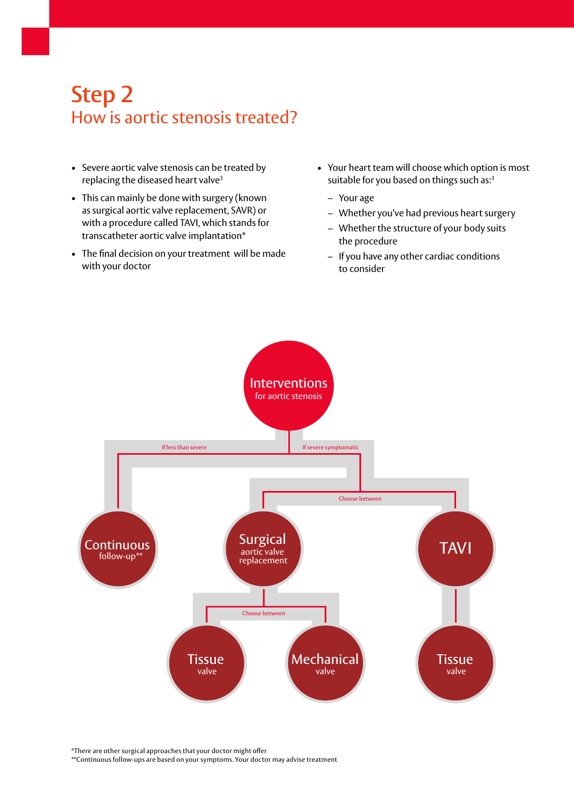## **Step 2**  How is aortic stenosis treated?

- Severe aortic valve stenosis can be treated by replacing the diseased heart valve<sup>3</sup>
- This can mainly be done with surgery (known as surgical aortic valve replacement, SAVR) or with a procedure called TAVI, which stands for transcatheter aortic valve implantation\*
- The final decision on your treatment will be made with your doctor
- Your heart team will choose which option is most suitable for you based on things such as:<sup>3</sup>
	- Your age
	- Whether you've had previous heart surgery
	- Whether the structure of your body suits the procedure
	- If you have any other cardiac conditions to consider



\*There are other surgical approaches that your doctor might offer

\*\*Continuous follow-ups are based on your symptoms. Your doctor may advise treatment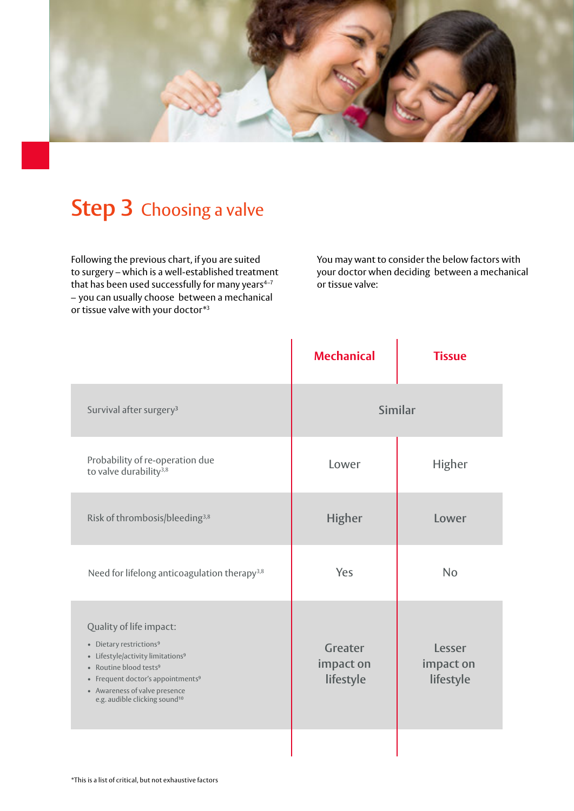

## **Step 3** Choosing a valve

Following the previous chart, if you are suited to surgery – which is a well-established treatment that has been used successfully for many years $4-7$ – you can usually choose between a mechanical or tissue valve with your doctor\*3

You may want to consider the below factors with your doctor when deciding between a mechanical or tissue valve:

|                                                                                                                                                                                                                                                                                      | <b>Mechanical</b>                 | <b>Tissue</b>                    |
|--------------------------------------------------------------------------------------------------------------------------------------------------------------------------------------------------------------------------------------------------------------------------------------|-----------------------------------|----------------------------------|
| Survival after surgery <sup>3</sup>                                                                                                                                                                                                                                                  | Similar                           |                                  |
| Probability of re-operation due<br>to valve durability <sup>3,8</sup>                                                                                                                                                                                                                | Lower                             | <b>Higher</b>                    |
| Risk of thrombosis/bleeding <sup>3,8</sup>                                                                                                                                                                                                                                           | <b>Higher</b>                     | Lower                            |
| Need for lifelong anticoagulation therapy <sup>3,8</sup>                                                                                                                                                                                                                             | Yes                               | <b>No</b>                        |
| Quality of life impact:<br>• Dietary restrictions <sup>9</sup><br>• Lifestyle/activity limitations <sup>9</sup><br>• Routine blood tests <sup>9</sup><br>• Frequent doctor's appointments <sup>9</sup><br>• Awareness of valve presence<br>e.g. audible clicking sound <sup>10</sup> | Greater<br>impact on<br>lifestyle | Lesser<br>impact on<br>lifestyle |
|                                                                                                                                                                                                                                                                                      |                                   |                                  |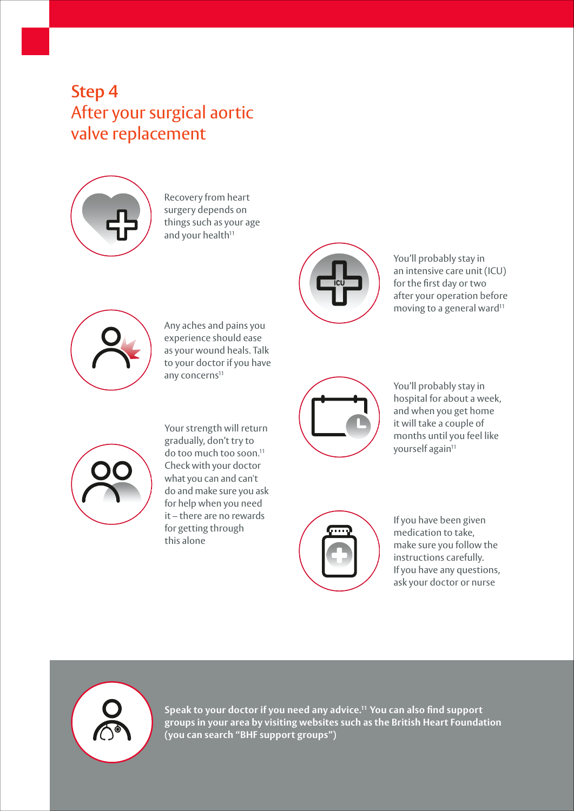## **Step 4**  After your surgical aortic valve replacement



Recovery from heart surgery depends on things such as your age and your health<sup>11</sup>



Any aches and pains you experience should ease as your wound heals. Talk to your doctor if you have any concerns<sup>11</sup>



You'll probably stay in an intensive care unit (ICU) for the first day or two after your operation before moving to a general ward<sup>11</sup>



You'll probably stay in hospital for about a week, and when you get home it will take a couple of months until you feel like yourself again<sup>11</sup>



Your strength will return gradually, don't try to do too much too soon.11 Check with your doctor what you can and can't do and make sure you ask for help when you need it – there are no rewards for getting through this alone



If you have been given medication to take, make sure you follow the instructions carefully. If you have any questions, ask your doctor or nurse



**Speak to your doctor if you need any advice.11 You can also find support groups in your area by visiting websites such as the British Heart Foundation (you can search "BHF support groups")**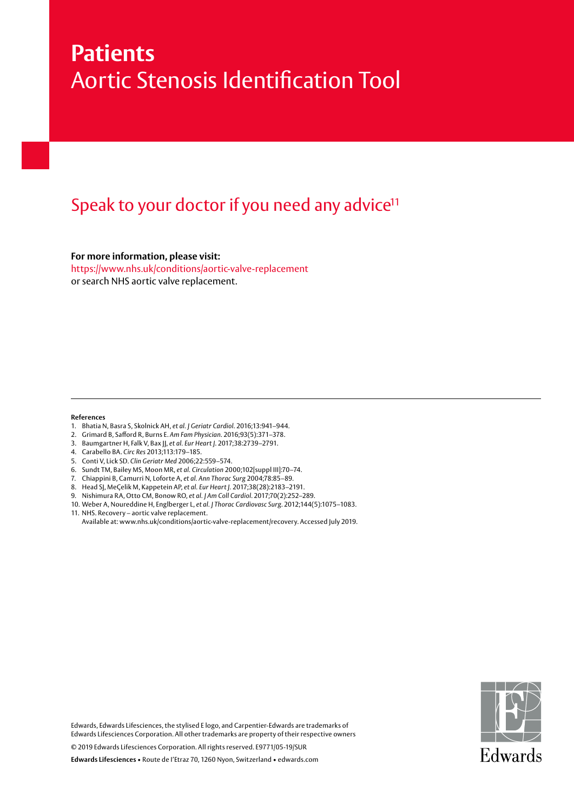## **Patients**  Aortic Stenosis Identification Tool

### Speak to your doctor if you need any advice<sup>11</sup>

**For more information, please visit:**

https://www.nhs.uk/conditions/aortic-valve-replacement or search NHS aortic valve replacement.

#### **References**

- 1. Bhatia N, Basra S, Skolnick AH, *et al. J Geriatr Cardiol*. 2016;13:941–944.
- 2. Grimard B, Safford R, Burns E. Am Fam Physician. 2016;93(5):371-378.
- 3. Baumgartner H, Falk V, Bax JJ, *et al. Eur Heart J*. 2017;38:2739–2791.
- 4. Carabello BA. *Circ Res* 2013;113:179–185.
- 5. Conti V, Lick SD. *Clin Geriatr Med* 2006;22:559–574.
- 6. Sundt TM, Bailey MS, Moon MR, *et al. Circulation* 2000;102[suppl III]:70–74.
- 7. Chiappini B, Camurri N, Loforte A, *et al. Ann Thorac Surg* 2004;78:85–89.
- 8. Head SJ, MeÇelik M, Kappetein AP, *et al. Eur Heart J.* 2017;38(28):2183–2191.
- 9. Nishimura RA, Otto CM, Bonow RO, *et al. J Am Coll Cardiol*. 2017;70(2):252–289.
- 10. Weber A, Noureddine H, Englberger L, *et al. J Thorac Cardiovasc Surg*. 2012;144(5):1075–1083. 11. NHS. Recovery – aortic valve replacement.
- Available at: www.nhs.uk/conditions/aortic-valve-replacement/recovery. Accessed July 2019.



Edwards, Edwards Lifesciences, the stylised E logo, and Carpentier-Edwards are trademarks of Edwards Lifesciences Corporation. All other trademarks are property of their respective owners

© 2019 Edwards Lifesciences Corporation. All rights reserved. E9771/05-19/SUR

**Edwards Lifesciences** • Route de I'Etraz 70, 1260 Nyon, Switzerland • edwards.com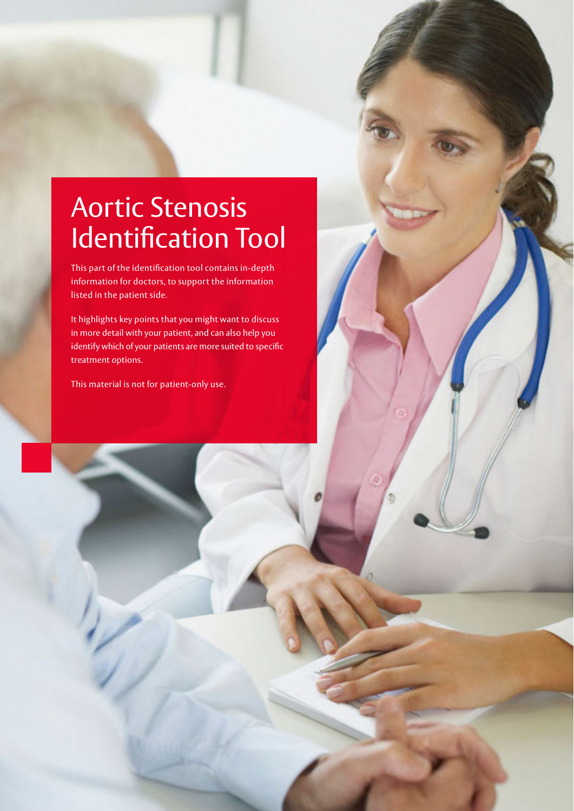# Aortic Stenosis Identification Tool

This part of the identification tool contains in-depth information for doctors, to support the information listed in the patient side.

It highlights key points that you might want to discuss in more detail with your patient, and can also help you identify which of your patients are more suited to specific treatment options.

This material is not for patient-only use.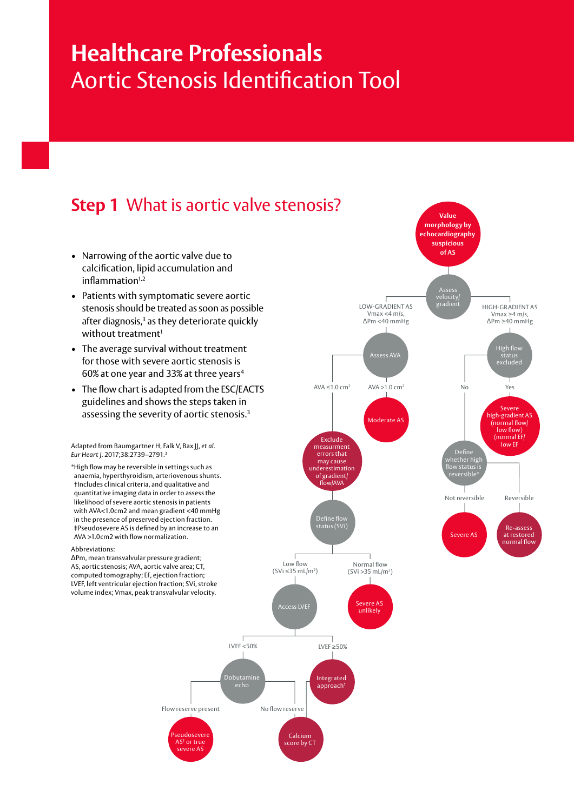## **Healthcare Professionals**  Aortic Stenosis Identification Tool

#### **Step 1** What is aortic valve stenosis?

- Narrowing of the aortic valve due to calcification, lipid accumulation and  $inflammation<sup>1,2</sup>$
- Patients with symptomatic severe aortic stenosis should be treated as soon as possible after diagnosis,<sup>3</sup> as they deteriorate quickly without treatment $1$
- The average survival without treatment for those with severe aortic stenosis is 60% at one year and 33% at three years<sup>4</sup>
- The flow chart is adapted from the ESC/EACTS guidelines and shows the steps taken in assessing the severity of aortic stenosis.<sup>3</sup>

Adapted from Baumgartner H, Falk V, Bax JJ, *et al*. *Eur Heart J*. 2017;38:2739–2791.3

\* High flow may be reversible in settings such as anaemia, hyperthyroidism, arteriovenous shunts. †Includes clinical criteria, and qualitative and quantitative imaging data in order to assess the likelihood of severe aortic stenosis in patients with AVA<1.0cm2 and mean gradient <40 mmHg in the presence of preserved ejection fraction. ‡Pseudosevere AS is defined by an increase to an AVA >1.0cm2 with flow normalization.

#### Abbreviations:

ΔPm, mean transvalvular pressure gradient; AS, aortic stenosis; AVA, aortic valve area; CT, computed tomography; EF, ejection fraction; LVEF, left ventricular ejection fraction; SVi, stroke volume index; Vmax, peak transvalvular velocity.



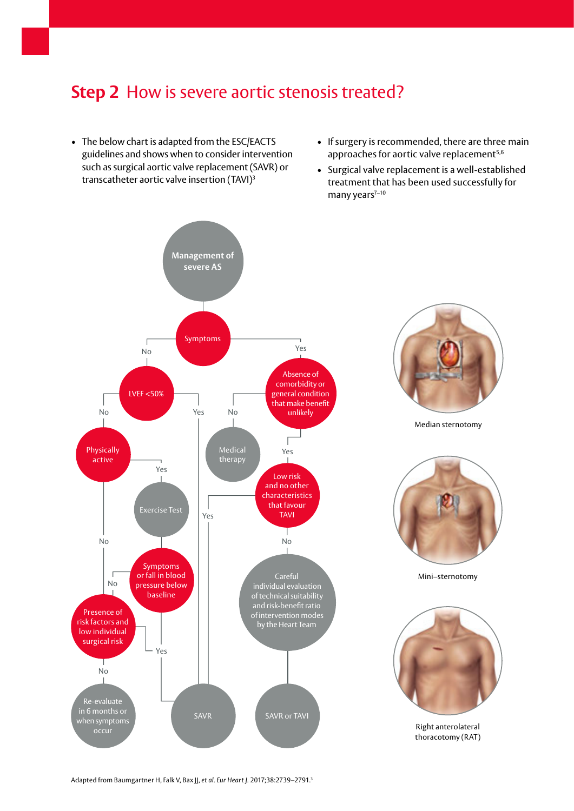#### **Step 2** How is severe aortic stenosis treated?

- The below chart is adapted from the ESC/EACTS guidelines and shows when to consider intervention such as surgical aortic valve replacement (SAVR) or transcatheter aortic valve insertion (TAVI)3
- If surgery is recommended, there are three main approaches for aortic valve replacement<sup>5,6</sup>
- Surgical valve replacement is a well-established treatment that has been used successfully for many years $7-10$



Adapted from Baumgartner H, Falk V, Bax JJ, *et al. Eur Heart J.* 2017;38:2739–2791.3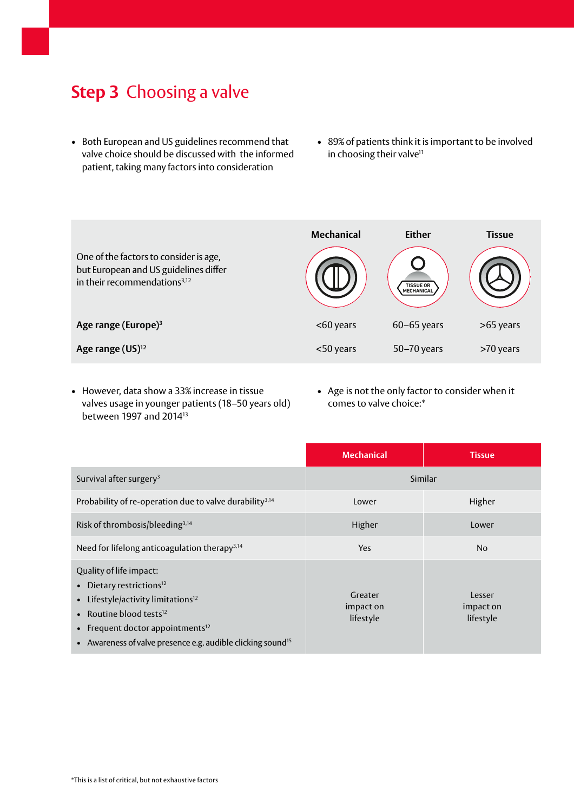#### **Step 3** Choosing a valve

- Both European and US guidelines recommend that valve choice should be discussed with the informed patient, taking many factors into consideration
- 89% of patients think it is important to be involved in choosing their valve<sup>11</sup>

| One of the factors to consider is age,<br>but European and US guidelines differ<br>in their recommendations <sup>3,12</sup> | <b>Mechanical</b> | <b>Either</b><br><b>TISSUE OR</b><br><b>MECHANICAL</b> | <b>Tissue</b> |
|-----------------------------------------------------------------------------------------------------------------------------|-------------------|--------------------------------------------------------|---------------|
| Age range (Europe) <sup>3</sup>                                                                                             | <60 years         | $60 - 65$ years                                        | >65 years     |
| Age range (US) <sup>12</sup>                                                                                                | <50 years         | 50-70 years                                            | >70 years     |

- However, data show a 33% increase in tissue valves usage in younger patients (18–50 years old) between 1997 and 201413
- Age is not the only factor to consider when it comes to valve choice:\*

|                                                                                                                                                                                                                                                                            | <b>Mechanical</b>                 | <b>Tissue</b>                    |
|----------------------------------------------------------------------------------------------------------------------------------------------------------------------------------------------------------------------------------------------------------------------------|-----------------------------------|----------------------------------|
| Survival after surgery <sup>3</sup>                                                                                                                                                                                                                                        | Similar                           |                                  |
| Probability of re-operation due to valve durability <sup>3,14</sup>                                                                                                                                                                                                        | Lower                             | Higher                           |
| Risk of thrombosis/bleeding <sup>3,14</sup>                                                                                                                                                                                                                                | Higher                            | Lower                            |
| Need for lifelong anticoagulation therapy <sup>3,14</sup>                                                                                                                                                                                                                  | <b>Yes</b>                        | N <sub>0</sub>                   |
| Quality of life impact:<br>• Dietary restrictions <sup>12</sup><br>• Lifestyle/activity limitations <sup>12</sup><br>• Routine blood tests $12$<br>• Frequent doctor appointments <sup>12</sup><br>• Awareness of valve presence e.g. audible clicking sound <sup>15</sup> | Greater<br>impact on<br>lifestyle | Lesser<br>impact on<br>lifestyle |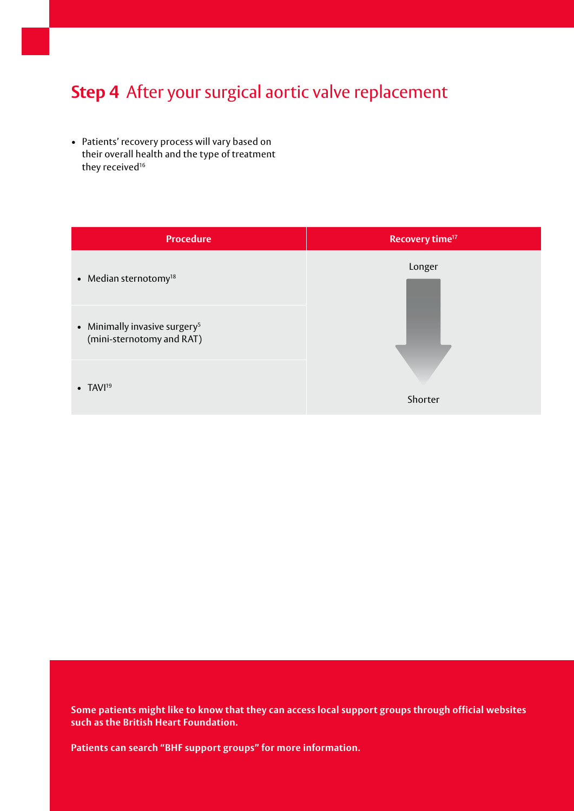#### **Step 4** After your surgical aortic valve replacement

• Patients' recovery process will vary based on their overall health and the type of treatment they received<sup>16</sup>

| <b>Procedure</b>                                                       | Recovery time <sup>17</sup> |
|------------------------------------------------------------------------|-----------------------------|
| • Median sternotomy $18$                                               | Longer                      |
| • Minimally invasive surgery <sup>5</sup><br>(mini-sternotomy and RAT) |                             |
| $\bullet$ TAVI <sup>19</sup>                                           | Shorter                     |

**Some patients might like to know that they can access local support groups through official websites such as the British Heart Foundation.** 

**Patients can search "BHF support groups" for more information.**